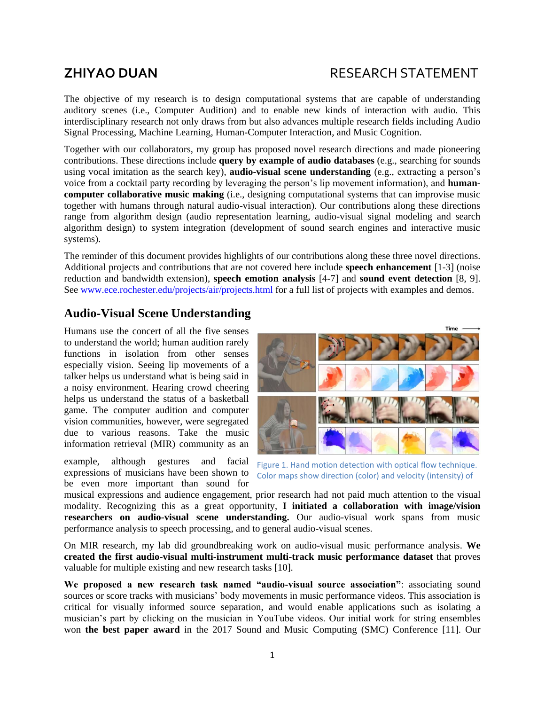# **ZHIYAO DUAN** RESEARCH STATEMENT

The objective of my research is to design computational systems that are capable of understanding auditory scenes (i.e., Computer Audition) and to enable new kinds of interaction with audio. This interdisciplinary research not only draws from but also advances multiple research fields including Audio Signal Processing, Machine Learning, Human-Computer Interaction, and Music Cognition.

Together with our collaborators, my group has proposed novel research directions and made pioneering contributions. These directions include **query by example of audio databases** (e.g., searching for sounds using vocal imitation as the search key), **audio-visual scene understanding** (e.g., extracting a person's voice from a cocktail party recording by leveraging the person's lip movement information), and **humancomputer collaborative music making** (i.e., designing computational systems that can improvise music together with humans through natural audio-visual interaction). Our contributions along these directions range from algorithm design (audio representation learning, audio-visual signal modeling and search algorithm design) to system integration (development of sound search engines and interactive music systems).

The reminder of this document provides highlights of our contributions along these three novel directions. Additional projects and contributions that are not covered here include **speech enhancement** [1-3] (noise reduction and bandwidth extension), **speech emotion analysis** [4-7] and **sound event detection** [8, 9]. See [www.ece.rochester.edu/projects/air/projects.html](http://www.ece.rochester.edu/projects/air/projects.html) for a full list of projects with examples and demos.

## **Audio-Visual Scene Understanding**

Humans use the concert of all the five senses to understand the world; human audition rarely functions in isolation from other senses especially vision. Seeing lip movements of a talker helps us understand what is being said in a noisy environment. Hearing crowd cheering helps us understand the status of a basketball game. The computer audition and computer vision communities, however, were segregated due to various reasons. Take the music information retrieval (MIR) community as an

example, although gestures and facial expressions of musicians have been shown to be even more important than sound for



<span id="page-0-0"></span>Figure 1. Hand motion detection with optical flow technique. Color maps show direction (color) and velocity (intensity) of

motion. musical expressions and audience engagement, prior research had not paid much attention to the visual modality. Recognizing this as a great opportunity, **I initiated a collaboration with image/vision researchers on audio-visual scene understanding.** Our audio-visual work spans from music performance analysis to speech processing, and to general audio-visual scenes.

On MIR research, my lab did groundbreaking work on audio-visual music performance analysis. **We created the first audio-visual multi-instrument multi-track music performance dataset** that proves valuable for multiple existing and new research tasks [10].

**We proposed a new research task named "audio-visual source association"**: associating sound sources or score tracks with musicians' body movements in music performance videos. This association is critical for visually informed source separation, and would enable applications such as isolating a musician's part by clicking on the musician in YouTube videos. Our initial work for string ensembles won **the best paper award** in the 2017 Sound and Music Computing (SMC) Conference [11]. Our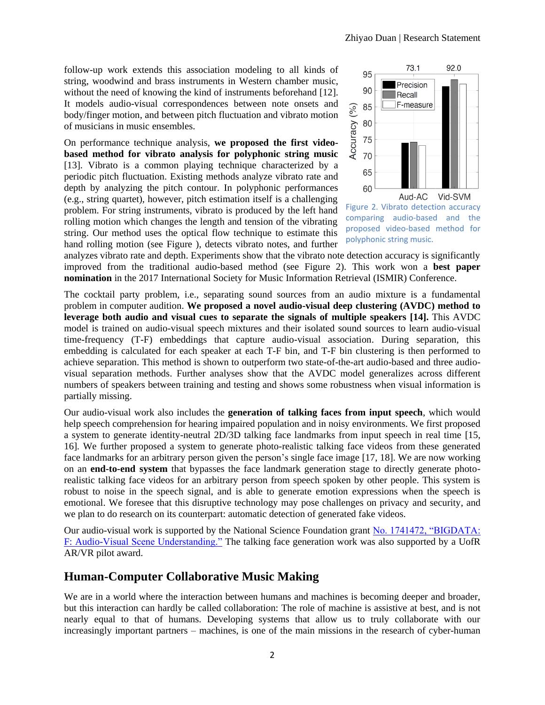follow-up work extends this association modeling to all kinds of string, woodwind and brass instruments in Western chamber music, without the need of knowing the kind of instruments beforehand [12]. It models audio-visual correspondences between note onsets and body/finger motion, and between pitch fluctuation and vibrato motion of musicians in music ensembles.

On performance technique analysis, **we proposed the first videobased method for vibrato analysis for polyphonic string music** [13]. Vibrato is a common playing technique characterized by a periodic pitch fluctuation. Existing methods analyze vibrato rate and depth by analyzing the pitch contour. In polyphonic performances (e.g., string quartet), however, pitch estimation itself is a challenging problem. For string instruments, vibrato is produced by the left hand rolling motion which changes the length and tension of the vibrating string. Our method uses the optical flow technique to estimate this hand rolling motion (see [Figure \)](#page-0-0), detects vibrato notes, and further



<span id="page-1-0"></span>Figure 2. Vibrato detection accuracy comparing audio-based and the proposed video-based method for polyphonic string music.

analyzes vibrato rate and depth. Experiments show that the vibrato note detection accuracy is significantly improved from the traditional audio-based method (see [Figure 2](#page-1-0)). This work won a **best paper nomination** in the 2017 International Society for Music Information Retrieval (ISMIR) Conference.

The cocktail party problem, i.e., separating sound sources from an audio mixture is a fundamental problem in computer audition. **We proposed a novel audio-visual deep clustering (AVDC) method to leverage both audio and visual cues to separate the signals of multiple speakers [14].** This AVDC model is trained on audio-visual speech mixtures and their isolated sound sources to learn audio-visual time-frequency (T-F) embeddings that capture audio-visual association. During separation, this embedding is calculated for each speaker at each T-F bin, and T-F bin clustering is then performed to achieve separation. This method is shown to outperform two state-of-the-art audio-based and three audiovisual separation methods. Further analyses show that the AVDC model generalizes across different numbers of speakers between training and testing and shows some robustness when visual information is partially missing.

Our audio-visual work also includes the **generation of talking faces from input speech**, which would help speech comprehension for hearing impaired population and in noisy environments. We first proposed a system to generate identity-neutral 2D/3D talking face landmarks from input speech in real time [15, 16]. We further proposed a system to generate photo-realistic talking face videos from these generated face landmarks for an arbitrary person given the person's single face image [17, 18]. We are now working on an **end-to-end system** that bypasses the face landmark generation stage to directly generate photorealistic talking face videos for an arbitrary person from speech spoken by other people. This system is robust to noise in the speech signal, and is able to generate emotion expressions when the speech is emotional. We foresee that this disruptive technology may pose challenges on privacy and security, and we plan to do research on its counterpart: automatic detection of generated fake videos.

Our audio-visual work is supported by the National Science Foundation grant [No. 1741472, "BIGDATA:](https://www.nsf.gov/awardsearch/showAward?AWD_ID=1741472)  [F: Audio-Visual Scene Understanding."](https://www.nsf.gov/awardsearch/showAward?AWD_ID=1741472) The talking face generation work was also supported by a UofR AR/VR pilot award.

## **Human-Computer Collaborative Music Making**

We are in a world where the interaction between humans and machines is becoming deeper and broader, but this interaction can hardly be called collaboration: The role of machine is assistive at best, and is not nearly equal to that of humans. Developing systems that allow us to truly collaborate with our increasingly important partners – machines, is one of the main missions in the research of cyber-human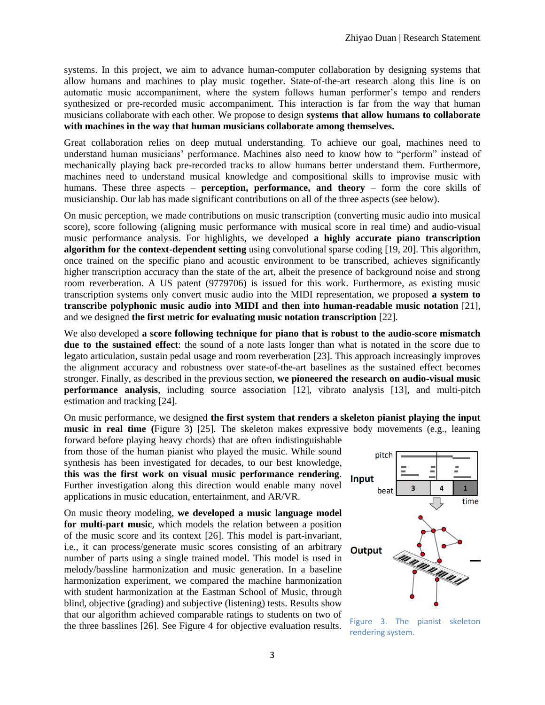systems. In this project, we aim to advance human-computer collaboration by designing systems that allow humans and machines to play music together. State-of-the-art research along this line is on automatic music accompaniment, where the system follows human performer's tempo and renders synthesized or pre-recorded music accompaniment. This interaction is far from the way that human musicians collaborate with each other. We propose to design **systems that allow humans to collaborate with machines in the way that human musicians collaborate among themselves.**

Great collaboration relies on deep mutual understanding. To achieve our goal, machines need to understand human musicians' performance. Machines also need to know how to "perform" instead of mechanically playing back pre-recorded tracks to allow humans better understand them. Furthermore, machines need to understand musical knowledge and compositional skills to improvise music with humans. These three aspects – **perception, performance, and theory** – form the core skills of musicianship. Our lab has made significant contributions on all of the three aspects (see below).

On music perception, we made contributions on music transcription (converting music audio into musical score), score following (aligning music performance with musical score in real time) and audio-visual music performance analysis. For highlights, we developed **a highly accurate piano transcription algorithm for the context-dependent setting** using convolutional sparse coding [19, 20]. This algorithm, once trained on the specific piano and acoustic environment to be transcribed, achieves significantly higher transcription accuracy than the state of the art, albeit the presence of background noise and strong room reverberation. A US patent (9779706) is issued for this work. Furthermore, as existing music transcription systems only convert music audio into the MIDI representation, we proposed **a system to transcribe polyphonic music audio into MIDI and then into human-readable music notation** [21], and we designed **the first metric for evaluating music notation transcription** [22].

We also developed **a score following technique for piano that is robust to the audio-score mismatch due to the sustained effect**: the sound of a note lasts longer than what is notated in the score due to legato articulation, sustain pedal usage and room reverberation [23]. This approach increasingly improves the alignment accuracy and robustness over state-of-the-art baselines as the sustained effect becomes stronger. Finally, as described in the previous section, **we pioneered the research on audio-visual music performance analysis**, including source association [12], vibrato analysis [13], and multi-pitch estimation and tracking [24].

On music performance, we designed **the first system that renders a skeleton pianist playing the input music in real time (**[Figure 3](#page-2-0)**)** [25]. The skeleton makes expressive body movements (e.g., leaning

forward before playing heavy chords) that are often indistinguishable from those of the human pianist who played the music. While sound synthesis has been investigated for decades, to our best knowledge, **this was the first work on visual music performance rendering**. Further investigation along this direction would enable many novel applications in music education, entertainment, and AR/VR.

On music theory modeling, **we developed a music language model for multi-part music**, which models the relation between a position of the music score and its context [26]. This model is part-invariant, i.e., it can process/generate music scores consisting of an arbitrary number of parts using a single trained model. This model is used in melody/bassline harmonization and music generation. In a baseline harmonization experiment, we compared the machine harmonization with student harmonization at the Eastman School of Music, through blind, objective (grading) and subjective (listening) tests. Results show that our algorithm achieved comparable ratings to students on two of the three basslines [26]. See Figure 4 for objective evaluation results. Figure 3. The pianist skeleton



<span id="page-2-0"></span>rendering system.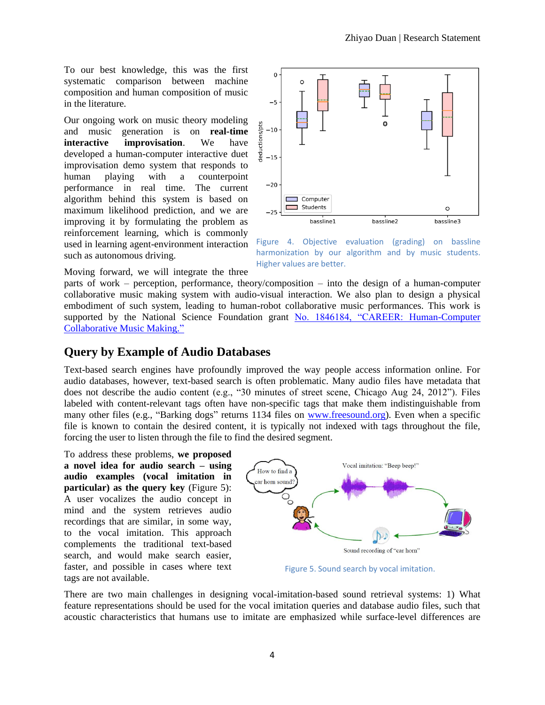To our best knowledge, this was the first systematic comparison between machine composition and human composition of music in the literature.

Our ongoing work on music theory modeling and music generation is on **real-time interactive improvisation**. We have developed a human-computer interactive duet improvisation demo system that responds to human playing with a counterpoint performance in real time. The current algorithm behind this system is based on maximum likelihood prediction, and we are improving it by formulating the problem as reinforcement learning, which is commonly used in learning agent-environment interaction such as autonomous driving.



Figure 4. Objective evaluation (grading) on bassline harmonization by our algorithm and by music students. Higher values are better.

Moving forward, we will integrate the three

parts of work – perception, performance, theory/composition – into the design of a human-computer collaborative music making system with audio-visual interaction. We also plan to design a physical embodiment of such system, leading to human-robot collaborative music performances. This work is supported by the National Science Foundation grant [No. 1846184, "CAREER: Human-Computer](https://www.nsf.gov/awardsearch/showAward?AWD_ID=1846184)  [Collaborative Music Making."](https://www.nsf.gov/awardsearch/showAward?AWD_ID=1846184)

### **Query by Example of Audio Databases**

Text-based search engines have profoundly improved the way people access information online. For audio databases, however, text-based search is often problematic. Many audio files have metadata that does not describe the audio content (e.g., "30 minutes of street scene, Chicago Aug 24, 2012"). Files labeled with content-relevant tags often have non-specific tags that make them indistinguishable from many other files (e.g., "Barking dogs" returns 1134 files on [www.freesound.org\)](http://www.freesound.org/). Even when a specific file is known to contain the desired content, it is typically not indexed with tags throughout the file, forcing the user to listen through the file to find the desired segment.

To address these problems, **we proposed a novel idea for audio search – using audio examples (vocal imitation in particular) as the query key** (Figure 5): A user vocalizes the audio concept in mind and the system retrieves audio recordings that are similar, in some way, to the vocal imitation. This approach complements the traditional text-based search, and would make search easier, faster, and possible in cases where text tags are not available.

![](_page_3_Figure_10.jpeg)

Figure 5. Sound search by vocal imitation.

There are two main challenges in designing vocal-imitation-based sound retrieval systems: 1) What feature representations should be used for the vocal imitation queries and database audio files, such that acoustic characteristics that humans use to imitate are emphasized while surface-level differences are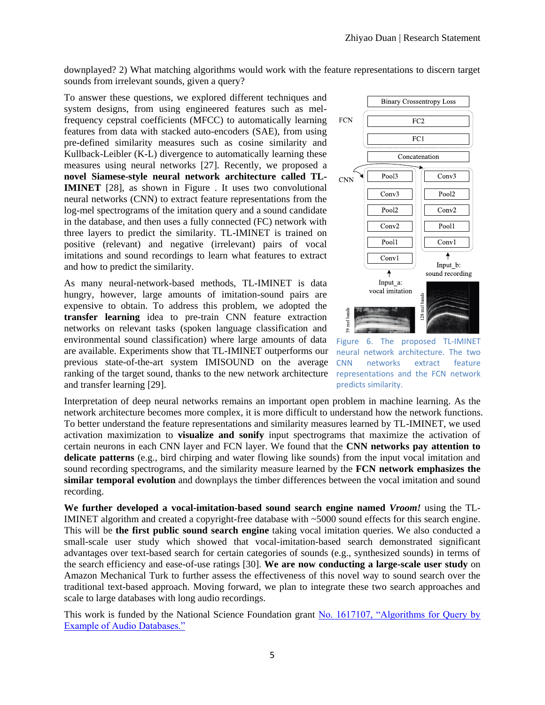downplayed? 2) What matching algorithms would work with the feature representations to discern target sounds from irrelevant sounds, given a query?

To answer these questions, we explored different techniques and system designs, from using engineered features such as melfrequency cepstral coefficients (MFCC) to automatically learning features from data with stacked auto-encoders (SAE), from using pre-defined similarity measures such as cosine similarity and Kullback-Leibler (K-L) divergence to automatically learning these measures using neural networks [27]. Recently, we proposed a **novel Siamese-style neural network architecture called TL-IMINET** [28], as shown in [Figure .](#page-4-0) It uses two convolutional neural networks (CNN) to extract feature representations from the log-mel spectrograms of the imitation query and a sound candidate in the database, and then uses a fully connected (FC) network with three layers to predict the similarity. TL-IMINET is trained on positive (relevant) and negative (irrelevant) pairs of vocal imitations and sound recordings to learn what features to extract and how to predict the similarity.

As many neural-network-based methods, TL-IMINET is data hungry, however, large amounts of imitation-sound pairs are expensive to obtain. To address this problem, we adopted the **transfer learning** idea to pre-train CNN feature extraction networks on relevant tasks (spoken language classification and environmental sound classification) where large amounts of data are available. Experiments show that TL-IMINET outperforms our previous state-of-the-art system IMISOUND on the average ranking of the target sound, thanks to the new network architecture and transfer learning [29].

![](_page_4_Figure_4.jpeg)

<span id="page-4-0"></span>Figure 6. The proposed TL-IMINET neural network architecture. The two CNN networks extract feature representations and the FCN network predicts similarity.

Interpretation of deep neural networks remains an important open problem in machine learning. As the network architecture becomes more complex, it is more difficult to understand how the network functions. To better understand the feature representations and similarity measures learned by TL-IMINET, we used activation maximization to **visualize and sonify** input spectrograms that maximize the activation of certain neurons in each CNN layer and FCN layer. We found that the **CNN networks pay attention to delicate patterns** (e.g., bird chirping and water flowing like sounds) from the input vocal imitation and sound recording spectrograms, and the similarity measure learned by the **FCN network emphasizes the similar temporal evolution** and downplays the timber differences between the vocal imitation and sound recording.

**We further developed a vocal-imitation-based sound search engine named** *Vroom!* using the TL-IMINET algorithm and created a copyright-free database with ~5000 sound effects for this search engine. This will be **the first public sound search engine** taking vocal imitation queries. We also conducted a small-scale user study which showed that vocal-imitation-based search demonstrated significant advantages over text-based search for certain categories of sounds (e.g., synthesized sounds) in terms of the search efficiency and ease-of-use ratings [30]. **We are now conducting a large-scale user study** on Amazon Mechanical Turk to further assess the effectiveness of this novel way to sound search over the traditional text-based approach. Moving forward, we plan to integrate these two search approaches and scale to large databases with long audio recordings.

This work is funded by the National Science Foundation grant [No. 1617107, "Algorithms for Query by](https://www.nsf.gov/awardsearch/showAward?AWD_ID=1617107)  [Example of Audio Databases."](https://www.nsf.gov/awardsearch/showAward?AWD_ID=1617107)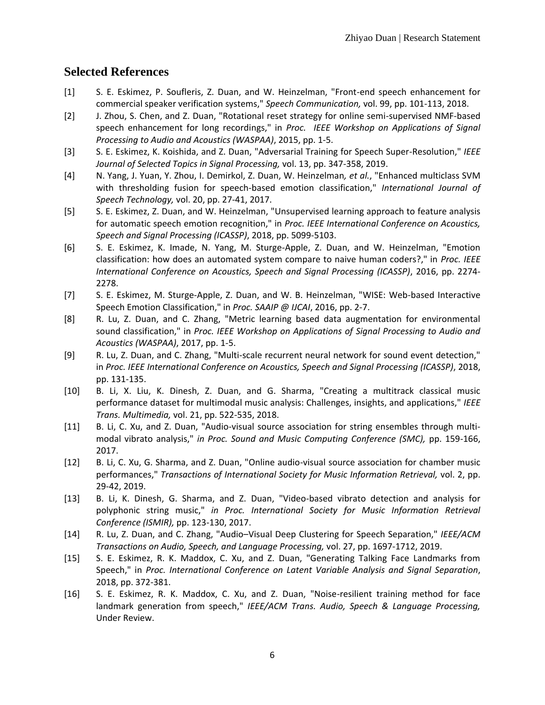## **Selected References**

- [1] S. E. Eskimez, P. Soufleris, Z. Duan, and W. Heinzelman, "Front-end speech enhancement for commercial speaker verification systems," *Speech Communication,* vol. 99, pp. 101-113, 2018.
- [2] J. Zhou, S. Chen, and Z. Duan, "Rotational reset strategy for online semi-supervised NMF-based speech enhancement for long recordings," in *Proc. IEEE Workshop on Applications of Signal Processing to Audio and Acoustics (WASPAA)*, 2015, pp. 1-5.
- [3] S. E. Eskimez, K. Koishida, and Z. Duan, "Adversarial Training for Speech Super-Resolution," *IEEE Journal of Selected Topics in Signal Processing,* vol. 13, pp. 347-358, 2019.
- [4] N. Yang, J. Yuan, Y. Zhou, I. Demirkol, Z. Duan, W. Heinzelman*, et al.*, "Enhanced multiclass SVM with thresholding fusion for speech-based emotion classification," *International Journal of Speech Technology,* vol. 20, pp. 27-41, 2017.
- [5] S. E. Eskimez, Z. Duan, and W. Heinzelman, "Unsupervised learning approach to feature analysis for automatic speech emotion recognition," in *Proc. IEEE International Conference on Acoustics, Speech and Signal Processing (ICASSP)*, 2018, pp. 5099-5103.
- [6] S. E. Eskimez, K. Imade, N. Yang, M. Sturge-Apple, Z. Duan, and W. Heinzelman, "Emotion classification: how does an automated system compare to naive human coders?," in *Proc. IEEE International Conference on Acoustics, Speech and Signal Processing (ICASSP)*, 2016, pp. 2274- 2278.
- [7] S. E. Eskimez, M. Sturge-Apple, Z. Duan, and W. B. Heinzelman, "WISE: Web-based Interactive Speech Emotion Classification," in *Proc. SAAIP @ IJCAI*, 2016, pp. 2-7.
- [8] R. Lu, Z. Duan, and C. Zhang, "Metric learning based data augmentation for environmental sound classification," in *Proc. IEEE Workshop on Applications of Signal Processing to Audio and Acoustics (WASPAA)*, 2017, pp. 1-5.
- [9] R. Lu, Z. Duan, and C. Zhang, "Multi-scale recurrent neural network for sound event detection," in *Proc. IEEE International Conference on Acoustics, Speech and Signal Processing (ICASSP)*, 2018, pp. 131-135.
- [10] B. Li, X. Liu, K. Dinesh, Z. Duan, and G. Sharma, "Creating a multitrack classical music performance dataset for multimodal music analysis: Challenges, insights, and applications," *IEEE Trans. Multimedia,* vol. 21, pp. 522-535, 2018.
- [11] B. Li, C. Xu, and Z. Duan, "Audio-visual source association for string ensembles through multimodal vibrato analysis," *in Proc. Sound and Music Computing Conference (SMC),* pp. 159-166, 2017.
- [12] B. Li, C. Xu, G. Sharma, and Z. Duan, "Online audio-visual source association for chamber music performances," *Transactions of International Society for Music Information Retrieval,* vol. 2, pp. 29-42, 2019.
- [13] B. Li, K. Dinesh, G. Sharma, and Z. Duan, "Video-based vibrato detection and analysis for polyphonic string music," *in Proc. International Society for Music Information Retrieval Conference (ISMIR),* pp. 123-130, 2017.
- [14] R. Lu, Z. Duan, and C. Zhang, "Audio–Visual Deep Clustering for Speech Separation," *IEEE/ACM Transactions on Audio, Speech, and Language Processing,* vol. 27, pp. 1697-1712, 2019.
- [15] S. E. Eskimez, R. K. Maddox, C. Xu, and Z. Duan, "Generating Talking Face Landmarks from Speech," in *Proc. International Conference on Latent Variable Analysis and Signal Separation*, 2018, pp. 372-381.
- [16] S. E. Eskimez, R. K. Maddox, C. Xu, and Z. Duan, "Noise-resilient training method for face landmark generation from speech," *IEEE/ACM Trans. Audio, Speech & Language Processing,*  Under Review.